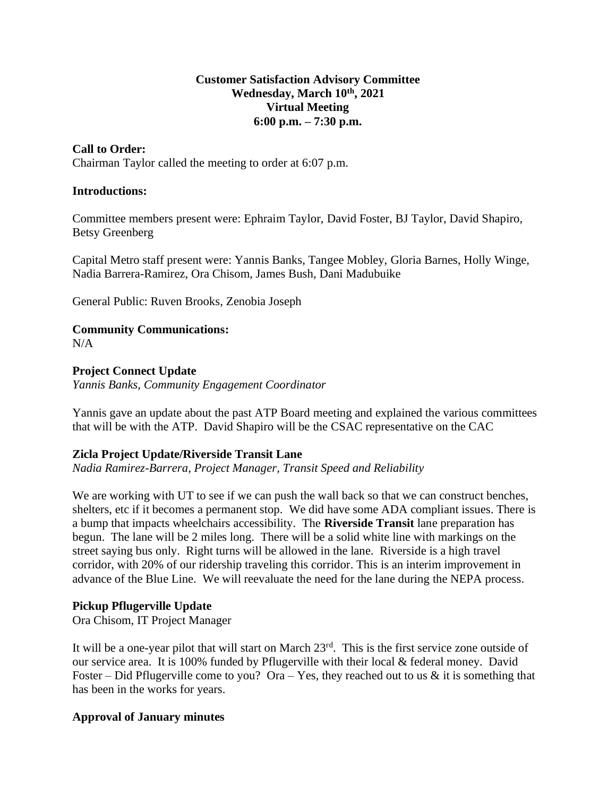#### **Customer Satisfaction Advisory Committee Wednesday, March 10th, 2021 Virtual Meeting 6:00 p.m. – 7:30 p.m.**

## **Call to Order:**

Chairman Taylor called the meeting to order at 6:07 p.m.

#### **Introductions:**

Committee members present were: Ephraim Taylor, David Foster, BJ Taylor, David Shapiro, Betsy Greenberg

Capital Metro staff present were: Yannis Banks, Tangee Mobley, Gloria Barnes, Holly Winge, Nadia Barrera-Ramirez, Ora Chisom, James Bush, Dani Madubuike

General Public: Ruven Brooks, Zenobia Joseph

# **Community Communications:**

N/A

# **Project Connect Update**

*Yannis Banks, Community Engagement Coordinator*

Yannis gave an update about the past ATP Board meeting and explained the various committees that will be with the ATP. David Shapiro will be the CSAC representative on the CAC

## **Zicla Project Update/Riverside Transit Lane**

*Nadia Ramirez-Barrera, Project Manager, Transit Speed and Reliability*

We are working with UT to see if we can push the wall back so that we can construct benches, shelters, etc if it becomes a permanent stop. We did have some ADA compliant issues. There is a bump that impacts wheelchairs accessibility. The **Riverside Transit** lane preparation has begun. The lane will be 2 miles long. There will be a solid white line with markings on the street saying bus only. Right turns will be allowed in the lane. Riverside is a high travel corridor, with 20% of our ridership traveling this corridor. This is an interim improvement in advance of the Blue Line. We will reevaluate the need for the lane during the NEPA process.

## **Pickup Pflugerville Update**

Ora Chisom, IT Project Manager

It will be a one-year pilot that will start on March 23rd. This is the first service zone outside of our service area. It is 100% funded by Pflugerville with their local & federal money. David Foster – Did Pflugerville come to you? Ora – Yes, they reached out to us  $\&$  it is something that has been in the works for years.

## **Approval of January minutes**